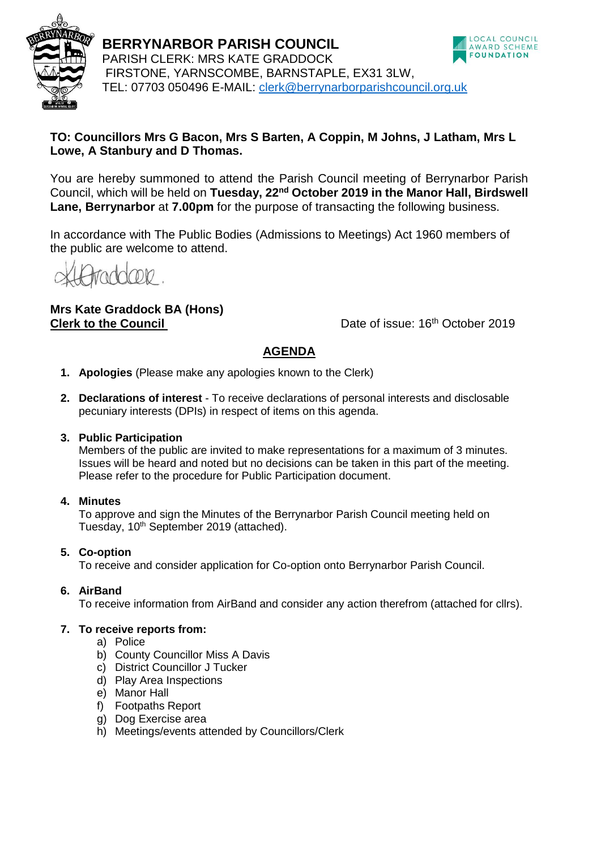

**BERRYNARBOR PARISH COUNCIL** PARISH CLERK: MRS KATE GRADDOCK FIRSTONE, YARNSCOMBE, BARNSTAPLE, EX31 3LW, TEL: 07703 050496 E-MAIL: [clerk@berrynarborparishcouncil.org.uk](mailto:clerk@berrynarborparishcouncil.org.uk)



## **TO: Councillors Mrs G Bacon, Mrs S Barten, A Coppin, M Johns, J Latham, Mrs L Lowe, A Stanbury and D Thomas.**

You are hereby summoned to attend the Parish Council meeting of Berrynarbor Parish Council, which will be held on **Tuesday, 22nd October 2019 in the Manor Hall, Birdswell Lane, Berrynarbor** at **7.00pm** for the purpose of transacting the following business.

In accordance with The Public Bodies (Admissions to Meetings) Act 1960 members of the public are welcome to attend.

# **Mrs Kate Graddock BA (Hons) Clerk to the Council Clerk to the Council Date of issue: 16<sup>th</sup> October 2019**

# **AGENDA**

- **1. Apologies** (Please make any apologies known to the Clerk)
- **2. Declarations of interest**  To receive declarations of personal interests and disclosable pecuniary interests (DPIs) in respect of items on this agenda.

### **3. Public Participation**

Members of the public are invited to make representations for a maximum of 3 minutes. Issues will be heard and noted but no decisions can be taken in this part of the meeting. Please refer to the procedure for Public Participation document.

### **4. Minutes**

To approve and sign the Minutes of the Berrynarbor Parish Council meeting held on Tuesday, 10<sup>th</sup> September 2019 (attached).

## **5. Co-option**

To receive and consider application for Co-option onto Berrynarbor Parish Council.

## **6. AirBand**

To receive information from AirBand and consider any action therefrom (attached for cllrs).

### **7. To receive reports from:**

- a) Police
- b) County Councillor Miss A Davis
- c) District Councillor J Tucker
- d) Play Area Inspections
- e) Manor Hall
- f) Footpaths Report
- g) Dog Exercise area
- h) Meetings/events attended by Councillors/Clerk